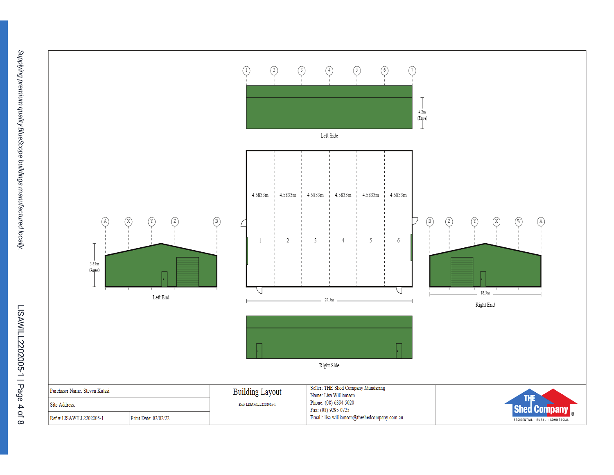

Supplying premium quality BlueScope buildings manufactured locally.

LISAWILL2202005-1 | Page 4 of 8